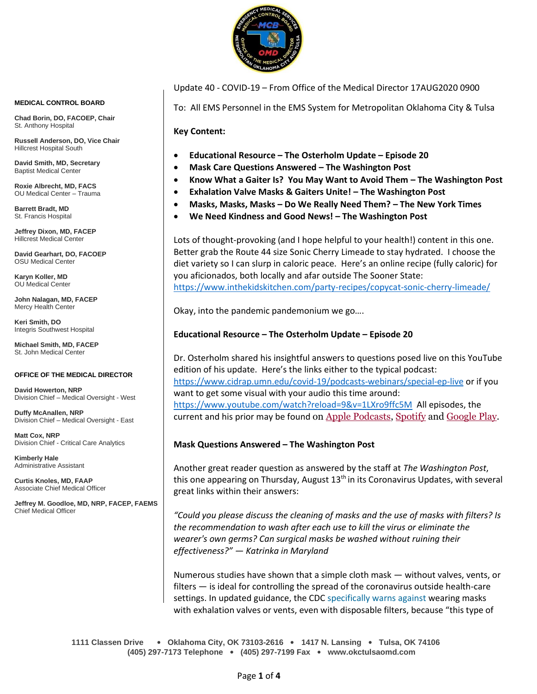

Update 40 - COVID-19 – From Office of the Medical Director 17AUG2020 0900

To: All EMS Personnel in the EMS System for Metropolitan Oklahoma City & Tulsa

**Key Content:**

- **Educational Resource – The Osterholm Update – Episode 20**
- **Mask Care Questions Answered – The Washington Post**
- **Know What a Gaiter Is? You May Want to Avoid Them – The Washington Post**
- **Exhalation Valve Masks & Gaiters Unite! – The Washington Post**
- **Masks, Masks, Masks – Do We Really Need Them? – The New York Times**
- **We Need Kindness and Good News! – The Washington Post**

Lots of thought-provoking (and I hope helpful to your health!) content in this one. Better grab the Route 44 size Sonic Cherry Limeade to stay hydrated. I choose the diet variety so I can slurp in caloric peace. Here's an online recipe (fully caloric) for you aficionados, both locally and afar outside The Sooner State: <https://www.inthekidskitchen.com/party-recipes/copycat-sonic-cherry-limeade/>

Okay, into the pandemic pandemonium we go….

#### **Educational Resource – The Osterholm Update – Episode 20**

Dr. Osterholm shared his insightful answers to questions posed live on this YouTube edition of his update. Here's the links either to the typical podcast: <https://www.cidrap.umn.edu/covid-19/podcasts-webinars/special-ep-live> or if you want to get some visual with your audio this time around: <https://www.youtube.com/watch?reload=9&v=1LXro9ffc5M>All episodes, the current and his prior may be found on [Apple Podcasts,](https://podcasts.apple.com/us/podcast/the-osterholm-update-covid-19/id1504360345) [Spotify](https://open.spotify.com/show/0ymlroFYVlSAnoq0uqECGx) and [Google Play.](https://play.google.com/music/listen#/ps/I3fioaqqcke5hdct6rzyryvyysa)

#### **Mask Questions Answered – The Washington Post**

Another great reader question as answered by the staff at *The Washington Post*, this one appearing on Thursday, August 13<sup>th</sup> in its Coronavirus Updates, with several great links within their answers:

*"Could you please discuss the cleaning of masks and the use of masks with filters? Is the recommendation to wash after each use to kill the virus or eliminate the wearer's own germs? Can surgical masks be washed without ruining their effectiveness?" — Katrinka in Maryland*

Numerous studies have shown that a simple cloth mask — without valves, vents, or filters — is ideal for controlling the spread of the coronavirus outside health-care settings. In updated guidance, the CDC [specifically warns against](https://s2.washingtonpost.com/2afcbcc/5f35a34afe1ff65e117e8167/5f132bcaade4e276b3a570a8/24/48/bfa6ac3805ba12737870dff12d432257) wearing masks with exhalation valves or vents, even with disposable filters, because "this type of

**1111 Classen Drive** • **Oklahoma City, OK 73103-2616** • **1417 N. Lansing** • **Tulsa, OK 74106 (405) 297-7173 Telephone** • **(405) 297-7199 Fax** • **www.okctulsaomd.com**

#### **MEDICAL CONTROL BOARD**

**Chad Borin, DO, FACOEP, Chair**  St. Anthony Hospital

**Russell Anderson, DO, Vice Chair** Hillcrest Hospital South

**David Smith, MD, Secretary** Baptist Medical Center

**Roxie Albrecht, MD, FACS** OU Medical Center – Trauma

**Barrett Bradt, MD** St. Francis Hospital

**Jeffrey Dixon, MD, FACEP** Hillcrest Medical Center

**David Gearhart, DO, FACOEP** OSU Medical Center

**Karyn Koller, MD** OU Medical Center

**John Nalagan, MD, FACEP** Mercy Health Center

**Keri Smith, DO** Integris Southwest Hospital

**Michael Smith, MD, FACEP** St. John Medical Center

#### **OFFICE OF THE MEDICAL DIRECTOR**

**David Howerton, NRP** Division Chief – Medical Oversight - West

**Duffy McAnallen, NRP** Division Chief – Medical Oversight - East

**Matt Cox, NRP** Division Chief - Critical Care Analytics

**Kimberly Hale** Administrative Assistant

**Curtis Knoles, MD, FAAP** Associate Chief Medical Officer

**Jeffrey M. Goodloe, MD, NRP, FACEP, FAEMS** Chief Medical Officer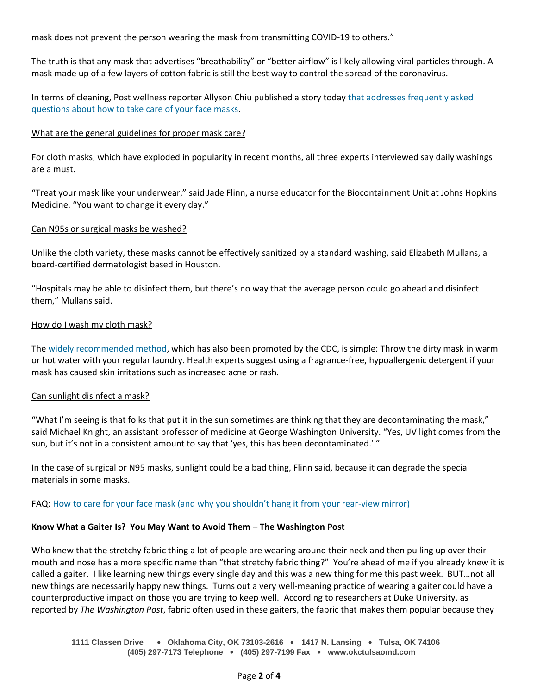mask does not prevent the person wearing the mask from transmitting COVID-19 to others."

The truth is that any mask that advertises "breathability" or "better airflow" is likely allowing viral particles through. A mask made up of a few layers of cotton fabric is still the best way to control the spread of the coronavirus.

In terms of cleaning, Post wellness reporter Allyson Chiu published a story today [that addresses frequently asked](https://s2.washingtonpost.com/2afcbce/5f35a34afe1ff65e117e8167/5f132bcaade4e276b3a570a8/25/48/bfa6ac3805ba12737870dff12d432257)  [questions about how to take care of your face masks.](https://s2.washingtonpost.com/2afcbce/5f35a34afe1ff65e117e8167/5f132bcaade4e276b3a570a8/25/48/bfa6ac3805ba12737870dff12d432257)

# What are the general guidelines for proper mask care?

For cloth masks, which have exploded in popularity in recent months, all three experts interviewed say daily washings are a must.

"Treat your mask like your underwear," said Jade Flinn, a nurse educator for the Biocontainment Unit at Johns Hopkins Medicine. "You want to change it every day."

# Can N95s or surgical masks be washed?

Unlike the cloth variety, these masks cannot be effectively sanitized by a standard washing, said Elizabeth Mullans, a board-certified dermatologist based in Houston.

"Hospitals may be able to disinfect them, but there's no way that the average person could go ahead and disinfect them," Mullans said.

# How do I wash my cloth mask?

The [widely recommended method,](https://s2.washingtonpost.com/2afcbcf/5f35a34afe1ff65e117e8167/5f132bcaade4e276b3a570a8/26/48/bfa6ac3805ba12737870dff12d432257) which has also been promoted by the CDC, is simple: Throw the dirty mask in warm or hot water with your regular laundry. Health experts suggest using a fragrance-free, hypoallergenic detergent if your mask has caused skin irritations such as increased acne or rash.

# Can sunlight disinfect a mask?

"What I'm seeing is that folks that put it in the sun sometimes are thinking that they are decontaminating the mask," said Michael Knight, an assistant professor of medicine at George Washington University. "Yes, UV light comes from the sun, but it's not in a consistent amount to say that 'yes, this has been decontaminated.' "

In the case of surgical or N95 masks, sunlight could be a bad thing, Flinn said, because it can degrade the special materials in some masks.

FAQ: [How to care for your face mask \(and why you shouldn't hang it from your rear](https://s2.washingtonpost.com/2afcbce/5f35a34afe1ff65e117e8167/5f132bcaade4e276b3a570a8/27/48/bfa6ac3805ba12737870dff12d432257)-view mirror)

# **Know What a Gaiter Is? You May Want to Avoid Them – The Washington Post**

Who knew that the stretchy fabric thing a lot of people are wearing around their neck and then pulling up over their mouth and nose has a more specific name than "that stretchy fabric thing?" You're ahead of me if you already knew it is called a gaiter. I like learning new things every single day and this was a new thing for me this past week. BUT…not all new things are necessarily happy new things. Turns out a very well-meaning practice of wearing a gaiter could have a counterproductive impact on those you are trying to keep well. According to researchers at Duke University, as reported by *The Washington Post*, fabric often used in these gaiters, the fabric that makes them popular because they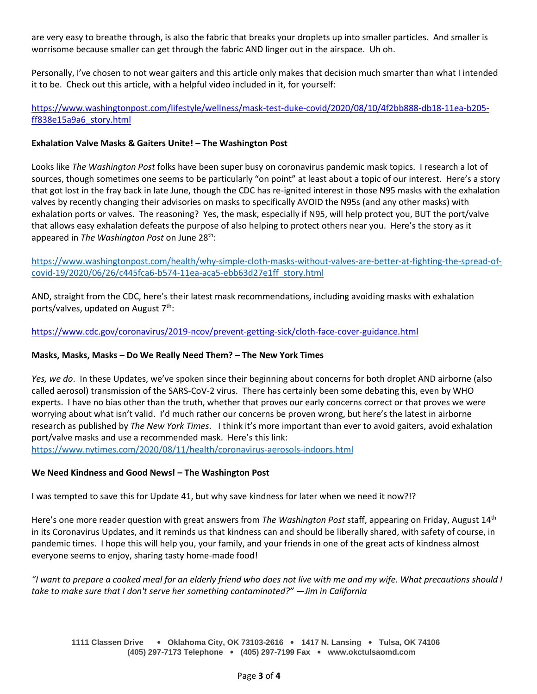are very easy to breathe through, is also the fabric that breaks your droplets up into smaller particles. And smaller is worrisome because smaller can get through the fabric AND linger out in the airspace. Uh oh.

Personally, I've chosen to not wear gaiters and this article only makes that decision much smarter than what I intended it to be. Check out this article, with a helpful video included in it, for yourself:

[https://www.washingtonpost.com/lifestyle/wellness/mask-test-duke-covid/2020/08/10/4f2bb888-db18-11ea-b205](https://www.washingtonpost.com/lifestyle/wellness/mask-test-duke-covid/2020/08/10/4f2bb888-db18-11ea-b205-ff838e15a9a6_story.html) [ff838e15a9a6\\_story.html](https://www.washingtonpost.com/lifestyle/wellness/mask-test-duke-covid/2020/08/10/4f2bb888-db18-11ea-b205-ff838e15a9a6_story.html)

# **Exhalation Valve Masks & Gaiters Unite! – The Washington Post**

Looks like *The Washington Post* folks have been super busy on coronavirus pandemic mask topics. I research a lot of sources, though sometimes one seems to be particularly "on point" at least about a topic of our interest. Here's a story that got lost in the fray back in late June, though the CDC has re-ignited interest in those N95 masks with the exhalation valves by recently changing their advisories on masks to specifically AVOID the N95s (and any other masks) with exhalation ports or valves. The reasoning? Yes, the mask, especially if N95, will help protect you, BUT the port/valve that allows easy exhalation defeats the purpose of also helping to protect others near you. Here's the story as it appeared in *The Washington Post* on June 28th:

[https://www.washingtonpost.com/health/why-simple-cloth-masks-without-valves-are-better-at-fighting-the-spread-of](https://www.washingtonpost.com/health/why-simple-cloth-masks-without-valves-are-better-at-fighting-the-spread-of-covid-19/2020/06/26/c445fca6-b574-11ea-aca5-ebb63d27e1ff_story.html)[covid-19/2020/06/26/c445fca6-b574-11ea-aca5-ebb63d27e1ff\\_story.html](https://www.washingtonpost.com/health/why-simple-cloth-masks-without-valves-are-better-at-fighting-the-spread-of-covid-19/2020/06/26/c445fca6-b574-11ea-aca5-ebb63d27e1ff_story.html)

AND, straight from the CDC, here's their latest mask recommendations, including avoiding masks with exhalation ports/valves, updated on August  $7<sup>th</sup>$ :

<https://www.cdc.gov/coronavirus/2019-ncov/prevent-getting-sick/cloth-face-cover-guidance.html>

# **Masks, Masks, Masks – Do We Really Need Them? – The New York Times**

*Yes, we do*. In these Updates, we've spoken since their beginning about concerns for both droplet AND airborne (also called aerosol) transmission of the SARS-CoV-2 virus. There has certainly been some debating this, even by WHO experts. I have no bias other than the truth, whether that proves our early concerns correct or that proves we were worrying about what isn't valid. I'd much rather our concerns be proven wrong, but here's the latest in airborne research as published by *The New York Times*. I think it's more important than ever to avoid gaiters, avoid exhalation port/valve masks and use a recommended mask. Here's this link:

<https://www.nytimes.com/2020/08/11/health/coronavirus-aerosols-indoors.html>

# **We Need Kindness and Good News! – The Washington Post**

I was tempted to save this for Update 41, but why save kindness for later when we need it now?!?

Here's one more reader question with great answers from *The Washington Post* staff, appearing on Friday, August 14th in its Coronavirus Updates, and it reminds us that kindness can and should be liberally shared, with safety of course, in pandemic times. I hope this will help you, your family, and your friends in one of the great acts of kindness almost everyone seems to enjoy, sharing tasty home-made food!

*"I want to prepare a cooked meal for an elderly friend who does not live with me and my wife. What precautions should I take to make sure that I don't serve her something contaminated?" —Jim in California*